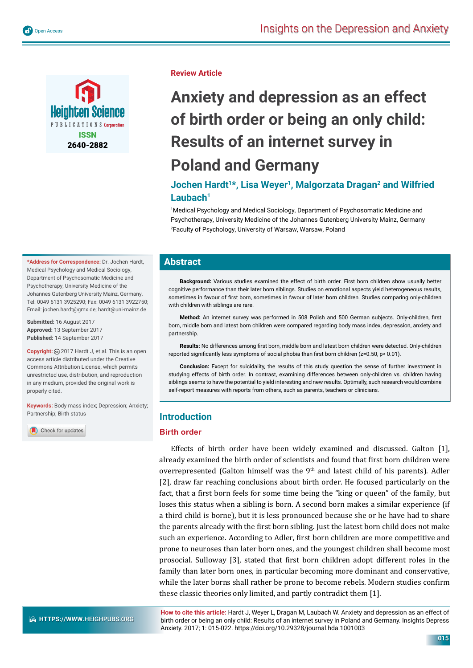

## **Review Article**

# **Anxiety and depression as an effect of birth order or being an only child: Results of an internet survey in Poland and Germany**

# Jochen Hardt<sup>1\*</sup>, Lisa Weyer<sup>1</sup>, Malgorzata Dragan<sup>2</sup> and Wilfried Laubach<sup>1</sup>

1 Medical Psychology and Medical Sociology, Department of Psychosomatic Medicine and Psychotherapy, University Medicine of the Johannes Gutenberg University Mainz, Germany 2 Faculty of Psychology, University of Warsaw, Warsaw, Poland

## **Abstract**

**Background:** Various studies examined the effect of birth order. First born children show usually better cognitive performance than their later born siblings. Studies on emotional aspects yield heterogeneous results, sometimes in favour of first born, sometimes in favour of later born children. Studies comparing only-children with children with siblings are rare.

Method: An internet survey was performed in 508 Polish and 500 German subjects. Only-children, first born, middle born and latest born children were compared regarding body mass index, depression, anxiety and partnership.

**Results:** No differences among first born, middle born and latest born children were detected. Only-children reported significantly less symptoms of social phobia than first born children (z=0.50, p< 0.01).

**Conclusion:** Except for suicidality, the results of this study question the sense of further investment in studying effects of birth order. In contrast, examining differences between only-children vs. children having siblings seems to have the potential to yield interesting and new results. Optimally, such research would combine self-report measures with reports from others, such as parents, teachers or clinicians.

## **Introduction**

#### **Birth order**

Effects of birth order have been widely examined and discussed. Galton [1], already examined the birth order of scientists and found that first born children were overrepresented (Galton himself was the  $9<sup>th</sup>$  and latest child of his parents). Adler [2], draw far reaching conclusions about birth order. He focused particularly on the fact, that a first born feels for some time being the "king or queen" of the family, but loses this status when a sibling is born. A second born makes a similar experience (if a third child is borne), but it is less pronounced because she or he have had to share the parents already with the first born sibling. Just the latest born child does not make such an experience. According to Adler, first born children are more competitive and prone to neuroses than later born ones, and the youngest children shall become most prosocial. Sulloway [3], stated that first born children adopt different roles in the family than later born ones, in particular becoming more dominant and conservative, while the later borns shall rather be prone to become rebels. Modern studies confirm these classic theories only limited, and partly contradict them [1].

**How to cite this article:** Hardt J, Weyer L, Dragan M, Laubach W. Anxiety and depression as an effect of birth order or being an only child: Results of an internet survey in Poland and Germany. Insights Depress Anxiety. 2017; 1: 015-022. https://doi.org/10.29328/journal.hda.1001003

**\*Address for Correspondence:** Dr. Jochen Hardt, Medical Psychology and Medical Sociology, Department of Psychosomatic Medicine and Psychotherapy, University Medicine of the Johannes Gutenberg University Mainz, Germany, Tel: 0049 6131 3925290; Fax: 0049 6131 3922750; Email: jochen.hardt@gmx.de; hardt@uni-mainz.de

**Submitted:** 16 August 2017 **Approved:** 13 September 2017 **Published:** 14 September 2017

**Copyright:** 2017 Hardt J, et al. This is an open access article distributed under the Creative Commons Attribution License, which permits unrestricted use, distribution, and reproduction in any medium, provided the original work is properly cited.

**Keywords:** Body mass index; Depression; Anxiety; Partnership; Birth status

Check for updates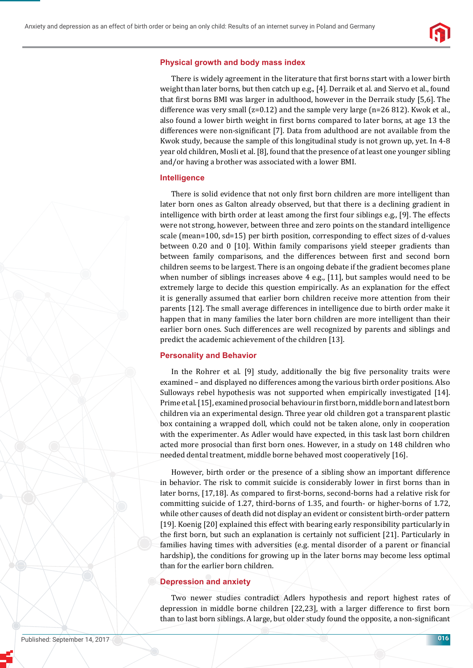

#### **Physical growth and body mass index**

There is widely agreement in the literature that first borns start with a lower birth weight than later borns, but then catch up e.g., [4]. Derraik et al. and Siervo et al., found that first borns BMI was larger in adulthood, however in the Derraik study [5,6]. The difference was very small  $(z=0.12)$  and the sample very large  $(n=26 812)$ . Kwok et al., also found a lower birth weight in first borns compared to later borns, at age 13 the differences were non-significant  $[7]$ . Data from adulthood are not available from the Kwok study, because the sample of this longitudinal study is not grown up, yet. In 4-8 year old children, Mosli et al. [8], found that the presence of at least one younger sibling and/or having a brother was associated with a lower BMI.

#### **Intelligence**

There is solid evidence that not only first born children are more intelligent than later born ones as Galton already observed, but that there is a declining gradient in intelligence with birth order at least among the first four siblings e.g., [9]. The effects were not strong, however, between three and zero points on the standard intelligence scale (mean=100, sd=15) per birth position, corresponding to effect sizes of d-values between 0.20 and 0 [10]. Within family comparisons yield steeper gradients than between family comparisons, and the differences between first and second born children seems to be largest. There is an ongoing debate if the gradient becomes plane when number of siblings increases above 4 e.g., [11], but samples would need to be extremely large to decide this question empirically. As an explanation for the effect it is generally assumed that earlier born children receive more attention from their parents [12]. The small average differences in intelligence due to birth order make it happen that in many families the later born children are more intelligent than their earlier born ones. Such differences are well recognized by parents and siblings and predict the academic achievement of the children [13].

#### **Personality and Behavior**

In the Rohrer et al. [9] study, additionally the big five personality traits were examined – and displayed no differences among the various birth order positions. Also Sulloways rebel hypothesis was not supported when empirically investigated [14]. Prime et al. [15], examined prosocial behaviour in ϐirst born, middle born and latest born children via an experimental design. Three year old children got a transparent plastic box containing a wrapped doll, which could not be taken alone, only in cooperation with the experimenter. As Adler would have expected, in this task last born children acted more prosocial than first born ones. However, in a study on 148 children who needed dental treatment, middle borne behaved most cooperatively [16].

However, birth order or the presence of a sibling show an important difference in behavior. The risk to commit suicide is considerably lower in first borns than in later borns, [17,18]. As compared to first-borns, second-borns had a relative risk for committing suicide of 1.27, third-borns of 1.35, and fourth- or higher-borns of 1.72, while other causes of death did not display an evident or consistent birth-order pattern [19]. Koenig [20] explained this effect with bearing early responsibility particularly in the first born, but such an explanation is certainly not sufficient [21]. Particularly in families having times with adversities (e.g. mental disorder of a parent or financial hardship), the conditions for growing up in the later borns may become less optimal than for the earlier born children.

#### **Depression and anxiety**

Two newer studies contradict Adlers hypothesis and report highest rates of depression in middle borne children [22,23], with a larger difference to first born than to last born siblings. A large, but older study found the opposite, a non-significant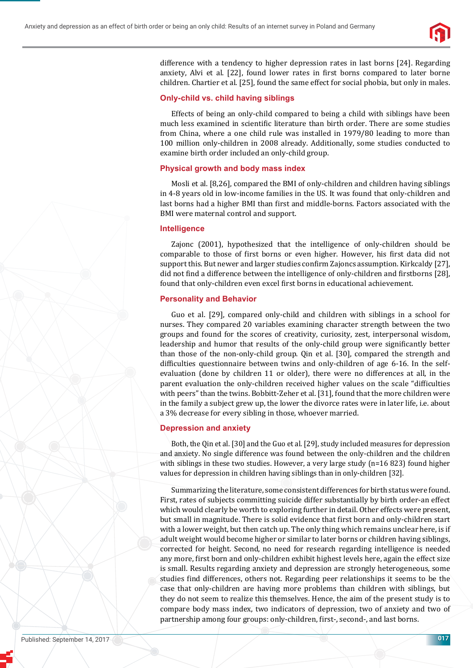

difference with a tendency to higher depression rates in last borns [24]. Regarding anxiety, Alvi et al. [22], found lower rates in first borns compared to later borne children. Chartier et al. [25], found the same effect for social phobia, but only in males.

#### **Only-child vs. child having siblings**

Effects of being an only-child compared to being a child with siblings have been much less examined in scientific literature than birth order. There are some studies from China, where a one child rule was installed in 1979/80 leading to more than 100 million only-children in 2008 already. Additionally, some studies conducted to examine birth order included an only-child group.

#### **Physical growth and body mass index**

Mosli et al. [8,26], compared the BMI of only-children and children having siblings in 4-8 years old in low-income families in the US. It was found that only-children and last borns had a higher BMI than first and middle-borns. Factors associated with the BMI were maternal control and support.

#### **Intelligence**

Zajonc (2001), hypothesized that the intelligence of only-children should be comparable to those of first borns or even higher. However, his first data did not support this. But newer and larger studies confirm Zajoncs assumption. Kirkcaldy [27], did not find a difference between the intelligence of only-children and firstborns [28], found that only-children even excel first borns in educational achievement.

#### **Personality and Behavior**

Guo et al. [29], compared only-child and children with siblings in a school for nurses. They compared 20 variables examining character strength between the two groups and found for the scores of creativity, curiosity, zest, interpersonal wisdom, leadership and humor that results of the only-child group were significantly better than those of the non-only-child group. Qin et al. [30], compared the strength and difficulties questionnaire between twins and only-children of age 6-16. In the selfevaluation (done by children 11 or older), there were no differences at all, in the parent evaluation the only-children received higher values on the scale "difficulties with peers" than the twins. Bobbitt-Zeher et al. [31], found that the more children were in the family a subject grew up, the lower the divorce rates were in later life, i.e. about a 3% decrease for every sibling in those, whoever married.

#### **Depression and anxiety**

Both, the Qin et al. [30] and the Guo et al. [29], study included measures for depression and anxiety. No single difference was found between the only-children and the children with siblings in these two studies. However, a very large study (n=16 823) found higher values for depression in children having siblings than in only-children [32].

Summarizing the literature, some consistent differences for birth status were found. First, rates of subjects committing suicide differ substantially by birth order-an effect which would clearly be worth to exploring further in detail. Other effects were present, but small in magnitude. There is solid evidence that first born and only-children start with a lower weight, but then catch up. The only thing which remains unclear here, is if adult weight would become higher or similar to later borns or children having siblings, corrected for height. Second, no need for research regarding intelligence is needed any more, first born and only-children exhibit highest levels here, again the effect size is small. Results regarding anxiety and depression are strongly heterogeneous, some studies ϐind differences, others not. Regarding peer relationships it seems to be the case that only-children are having more problems than children with siblings, but they do not seem to realize this themselves. Hence, the aim of the present study is to compare body mass index, two indicators of depression, two of anxiety and two of partnership among four groups: only-children, first-, second-, and last borns.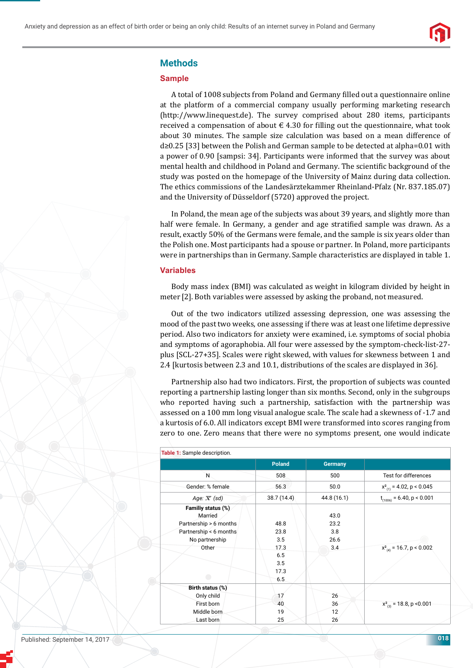

## **Methods**

## **Sample**

A total of 1008 subjects from Poland and Germany filled out a questionnaire online at the platform of a commercial company usually performing marketing research (http://www.linequest.de). The survey comprised about 280 items, participants received a compensation of about  $\epsilon$  4.30 for filling out the questionnaire, what took about 30 minutes. The sample size calculation was based on a mean difference of d≥0.25 [33] between the Polish and German sample to be detected at alpha=0.01 with a power of 0.90 [sampsi: 34]. Participants were informed that the survey was about mental health and childhood in Poland and Germany. The scientific background of the study was posted on the homepage of the University of Mainz during data collection. The ethics commissions of the Landesärztekammer Rheinland-Pfalz (Nr. 837.185.07) and the University of Düsseldorf (5720) approved the project.

In Poland, the mean age of the subjects was about 39 years, and slightly more than half were female. In Germany, a gender and age stratified sample was drawn. As a result, exactly 50% of the Germans were female, and the sample is six years older than the Polish one. Most participants had a spouse or partner. In Poland, more participants were in partnerships than in Germany. Sample characteristics are displayed in table 1.

#### **Variables**

Body mass index (BMI) was calculated as weight in kilogram divided by height in meter [2]. Both variables were assessed by asking the proband, not measured.

Out of the two indicators utilized assessing depression, one was assessing the mood of the past two weeks, one assessing if there was at least one lifetime depressive period. Also two indicators for anxiety were examined, i.e. symptoms of social phobia and symptoms of agoraphobia. All four were assessed by the symptom-check-list-27 plus [SCL-27+35]. Scales were right skewed, with values for skewness between 1 and 2.4 [kurtosis between 2.3 and 10.1, distributions of the scales are displayed in 36].

Partnership also had two indicators. First, the proportion of subjects was counted reporting a partnership lasting longer than six months. Second, only in the subgroups who reported having such a partnership, satisfaction with the partnership was assessed on a 100 mm long visual analogue scale. The scale had a skewness of -1.7 and a kurtosis of 6.0. All indicators except BMI were transformed into scores ranging from zero to one. Zero means that there were no symptoms present, one would indicate

| Table 1: Sample description.                                                                                 |                                                          |                                    |                                |
|--------------------------------------------------------------------------------------------------------------|----------------------------------------------------------|------------------------------------|--------------------------------|
|                                                                                                              | <b>Poland</b>                                            | <b>Germany</b>                     |                                |
| N                                                                                                            | 508                                                      | 500                                | Test for differences           |
| Gender: % female                                                                                             | 56.3                                                     | 50.0                               | $x_{(1)}^2$ = 4.02, p < 0.045  |
| Age: $\overline{x}$ (sd)                                                                                     | 38.7 (14.4)                                              | 44.8 (16.1)                        | $t_{(1006)} = 6.40, p < 0.001$ |
| Familiy status (%)<br>Married<br>Partnership > 6 months<br>Partnership < 6 months<br>No partnership<br>Other | 48.8<br>23.8<br>3.5<br>17.3<br>6.5<br>3.5<br>17.3<br>6.5 | 43.0<br>23.2<br>3.8<br>26.6<br>3.4 | $x_{(4)}^2$ = 16.7, p < 0.002  |
| Birth status (%)                                                                                             |                                                          |                                    |                                |
| Only child                                                                                                   | 17                                                       | 26                                 |                                |
| First born                                                                                                   | 40                                                       | 36                                 | $x^2_{(3)}$ = 18.8, p < 0.001  |
| Middle born                                                                                                  | 19                                                       | 12                                 |                                |
| Last born                                                                                                    | 25                                                       | 26                                 |                                |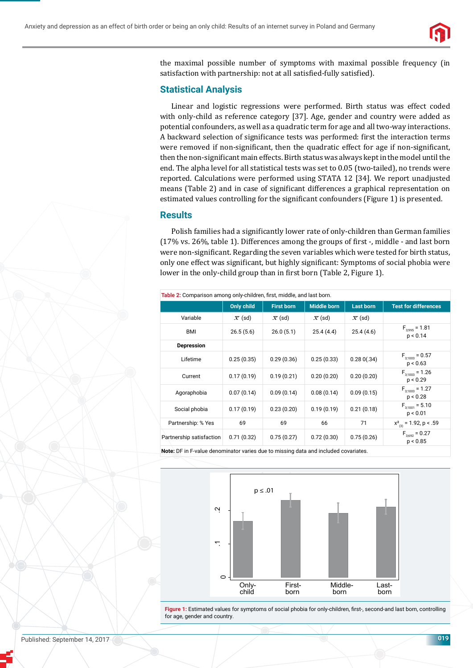

the maximal possible number of symptoms with maximal possible frequency (in satisfaction with partnership: not at all satisfied-fully satisfied).

## **Statistical Analysis**

Linear and logistic regressions were performed. Birth status was effect coded with only-child as reference category [37]. Age, gender and country were added as potential confounders, as well as a quadratic term for age and all two-way interactions. A backward selection of significance tests was performed: first the interaction terms were removed if non-significant, then the quadratic effect for age if non-significant, then the non-significant main effects. Birth status was always kept in the model until the end. The alpha level for all statistical tests was set to 0.05 (two-tailed), no trends were reported. Calculations were performed using STATA 12 [34]. We report unadjusted means (Table 2) and in case of significant differences a graphical representation on estimated values controlling for the significant confounders (Figure 1) is presented.

## **Results**

Polish families had a significantly lower rate of only-children than German families  $(17\% \text{ vs. } 26\%$ , table 1). Differences among the groups of first -, middle - and last born were non-significant. Regarding the seven variables which were tested for birth status, only one effect was significant, but highly significant: Symptoms of social phobia were lower in the only-child group than in first born (Table 2, Figure 1).

| Table 2: Comparison among only-children, first, middle, and last born. |                     |                     |                     |                     |                                        |  |  |
|------------------------------------------------------------------------|---------------------|---------------------|---------------------|---------------------|----------------------------------------|--|--|
|                                                                        | <b>Only child</b>   | <b>First born</b>   | <b>Middle born</b>  | <b>Last born</b>    | <b>Test for differences</b>            |  |  |
| Variable                                                               | $\overline{x}$ (sd) | $\overline{x}$ (sd) | $\overline{x}$ (sd) | $\overline{x}$ (sd) |                                        |  |  |
| BMI                                                                    | 26.5(5.6)           | 26.0(5.1)           | 25.4(4.4)           | 25.4(4.6)           | $F_{\text{q-0.05}} = 1.81$<br>p < 0.14 |  |  |
| <b>Depression</b>                                                      |                     |                     |                     |                     |                                        |  |  |
| Lifetime                                                               | 0.25(0.35)          | 0.29(0.36)          | 0.25(0.33)          | 0.280(.34)          | $F_{3:1003} = 0.57$<br>p < 0.63        |  |  |
| Current                                                                | 0.17(0.19)          | 0.19(0.21)          | 0.20(0.20)          | 0.20(0.20)          | $F_{3:1003} = 1.26$<br>p < 0.29        |  |  |
| Agoraphobia                                                            | 0.07(0.14)          | 0.09(0.14)          | 0.08(0.14)          | 0.09(0.15)          | $F_{3:1003} = 1.27$<br>p < 0.28        |  |  |
| Social phobia                                                          | 0.17(0.19)          | 0.23(0.20)          | 0.19(0.19)          | 0.21(0.18)          | $F_{3:1001} = 5.10$<br>p < 0.01        |  |  |
| Partnership: % Yes                                                     | 69                  | 69                  | 66                  | 71                  | $x^2_{(3)} = 1.92$ , p < .59           |  |  |
| Partnership satisfaction                                               | 0.71(0.32)          | 0.75(0.27)          | 0.72(0.30)          | 0.75(0.26)          | $F_{3;692} = 0.27$<br>p < 0.85         |  |  |

**Note:** DF in F-value denominator varies due to missing data and included covariates.



Figure 1: Estimated values for symptoms of social phobia for only-children, first-, second-and last born, controlling for age, gender and country.

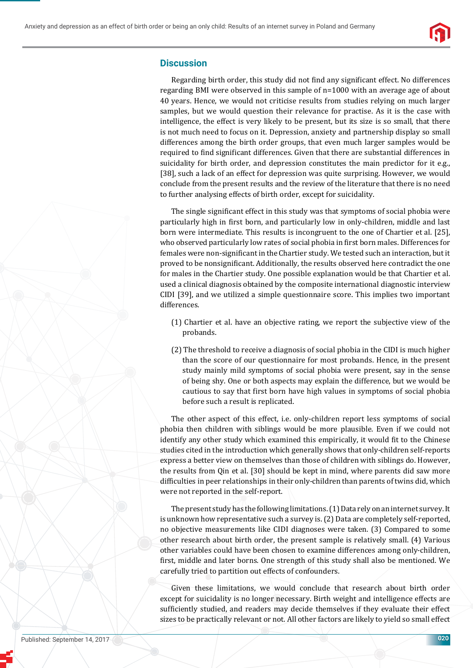

## **Discussion**

Regarding birth order, this study did not find any significant effect. No differences regarding BMI were observed in this sample of n=1000 with an average age of about 40 years. Hence, we would not criticise results from studies relying on much larger samples, but we would question their relevance for practise. As it is the case with intelligence, the effect is very likely to be present, but its size is so small, that there is not much need to focus on it. Depression, anxiety and partnership display so small differences among the birth order groups, that even much larger samples would be required to find significant differences. Given that there are substantial differences in suicidality for birth order, and depression constitutes the main predictor for it e.g., [38], such a lack of an effect for depression was quite surprising. However, we would conclude from the present results and the review of the literature that there is no need to further analysing effects of birth order, except for suicidality.

The single significant effect in this study was that symptoms of social phobia were particularly high in first born, and particularly low in only-children, middle and last born were intermediate. This results is incongruent to the one of Chartier et al. [25], who observed particularly low rates of social phobia in first born males. Differences for females were non-significant in the Chartier study. We tested such an interaction, but it proved to be nonsignificant. Additionally, the results observed here contradict the one for males in the Chartier study. One possible explanation would be that Chartier et al. used a clinical diagnosis obtained by the composite international diagnostic interview CIDI [39], and we utilized a simple questionnaire score. This implies two important differences.

- (1) Chartier et al. have an objective rating, we report the subjective view of the probands.
- (2) The threshold to receive a diagnosis of social phobia in the CIDI is much higher than the score of our questionnaire for most probands. Hence, in the present study mainly mild symptoms of social phobia were present, say in the sense of being shy. One or both aspects may explain the difference, but we would be cautious to say that first born have high values in symptoms of social phobia before such a result is replicated.

The other aspect of this effect, i.e. only-children report less symptoms of social phobia then children with siblings would be more plausible. Even if we could not identify any other study which examined this empirically, it would fit to the Chinese studies cited in the introduction which generally shows that only-children self-reports express a better view on themselves than those of children with siblings do. However, the results from Qin et al. [30] should be kept in mind, where parents did saw more difficulties in peer relationships in their only-children than parents of twins did, which were not reported in the self-report.

The present study has the following limitations. (1) Data rely on an internet survey. It is unknown how representative such a survey is. (2) Data are completely self-reported, no objective measurements like CIDI diagnoses were taken. (3) Compared to some other research about birth order, the present sample is relatively small. (4) Various other variables could have been chosen to examine differences among only-children, first, middle and later borns. One strength of this study shall also be mentioned. We carefully tried to partition out effects of confounders.

Given these limitations, we would conclude that research about birth order except for suicidality is no longer necessary. Birth weight and intelligence effects are sufficiently studied, and readers may decide themselves if they evaluate their effect sizes to be practically relevant or not. All other factors are likely to yield so small effect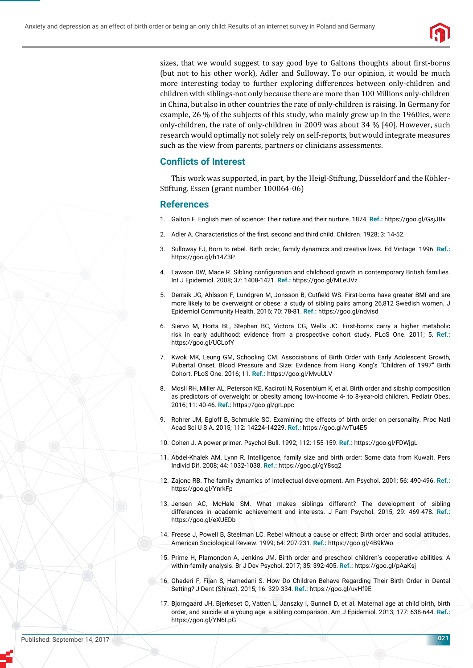

sizes, that we would suggest to say good bye to Galtons thoughts about first-borns (but not to his other work), Adler and Sulloway. To our opinion, it would be much more interesting today to further exploring differences between only-children and children with siblings-not only because there are more than 100 Millions only-children in China, but also in other countries the rate of only-children is raising. In Germany for example, 26 % of the subjects of this study, who mainly grew up in the 1960ies, were only-children, the rate of only-children in 2009 was about 34 % [40]. However, such research would optimally not solely rely on self-reports, but would integrate measures such as the view from parents, partners or clinicians assessments.

## **Conflicts of Interest**

This work was supported, in part, by the Heigl-Stiftung, Düsseldorf and the Köhler-Stiftung, Essen (grant number 100064-06)

## **References**

- 1. Galton F. English men of science: Their nature and their nurture. 1874. **Ref.:** https://goo.gl/GsjJBv
- 2. Adler A. Characteristics of the first, second and third child. Children. 1928; 3: 14-52.
- 3. Sulloway FJ, Born to rebel. Birth order, family dynamics and creative lives. Ed Vintage. 1996. **Ref.:** https://goo.gl/h14Z3P
- 4. Lawson DW, Mace R. Sibling configuration and childhood growth in contemporary British families. Int J Epidemiol. 2008; 37: 1408-1421. **Ref.:** https://goo.gl/MLeUVz
- 5. Derraik JG, Ahlsson F, Lundgren M, Jonsson B, Cutfield WS. First-borns have greater BMI and are more likely to be overweight or obese: a study of sibling pairs among 26,812 Swedish women. J Epidemiol Community Health. 2016; 70: 78-81. **Ref.:** https://goo.gl/ndvisd
- 6. Siervo M, Horta BL, Stephan BC, Victora CG, Wells JC. First-borns carry a higher metabolic risk in early adulthood: evidence from a prospective cohort study. PLoS One. 2011; 5. **Ref.:** https://goo.gl/UCLofY
- 7. Kwok MK, Leung GM, Schooling CM. Associations of Birth Order with Early Adolescent Growth, Pubertal Onset, Blood Pressure and Size: Evidence from Hong Kong's "Children of 1997" Birth Cohort. PLoS One. 2016; 11. **Ref.:** https://goo.gl/MvuULV
- 8. Mosli RH, Miller AL, Peterson KE, Kaciroti N, Rosenblum K, et al. Birth order and sibship composition as predictors of overweight or obesity among low-income 4- to 8-year-old children. Pediatr Obes. 2016; 11: 40-46. **Ref.:** https://goo.gl/grLppc
- 9. Rohrer JM, Egloff B, Schmukle SC. Examining the effects of birth order on personality. Proc Natl Acad Sci U S A. 2015; 112: 14224-14229. **Ref.:** https://goo.gl/wTu4E5
- 10. Cohen J. A power primer. Psychol Bull. 1992; 112: 155-159. **Ref.:** https://goo.gl/FDWjgL
- 11. Abdel-Khalek AM, Lynn R. Intelligence, family size and birth order: Some data from Kuwait. Pers Individ Dif. 2008; 44: 1032-1038. **Ref.:** https://goo.gl/gY8sq2
- 12. Zajonc RB. The family dynamics of intellectual development. Am Psychol. 2001; 56: 490-496. **Ref.:** https://goo.gl/YnrkFp
- 13. Jensen AC, McHale SM. What makes siblings different? The development of sibling differences in academic achievement and interests. J Fam Psychol. 2015; 29: 469-478. **Ref.:** https://goo.gl/eXUEDb
- 14. Freese J, Powell B, Steelman LC. Rebel without a cause or effect: Birth order and social attitudes. American Sociological Review. 1999; 64: 207-231. **Ref.:** https://goo.gl/4B9kWo
- 15. Prime H, Plamondon A, Jenkins JM. Birth order and preschool children's cooperative abilities: A within-family analysis. Br J Dev Psychol. 2017; 35: 392-405. **Ref.:** https://goo.gl/pAaKsj
- 16. Ghaderi F, Fijan S, Hamedani S. How Do Children Behave Regarding Their Birth Order in Dental Setting? J Dent (Shiraz). 2015; 16: 329-334. **Ref.:** https://goo.gl/uvHf9E
- 17. Bjorngaard JH, Bjerkeset O, Vatten L, Janszky I, Gunnell D, et al. Maternal age at child birth, birth order, and suicide at a young age: a sibling comparison. Am J Epidemiol. 2013; 177: 638-644. **Ref.:** https://goo.gl/YN6LpG